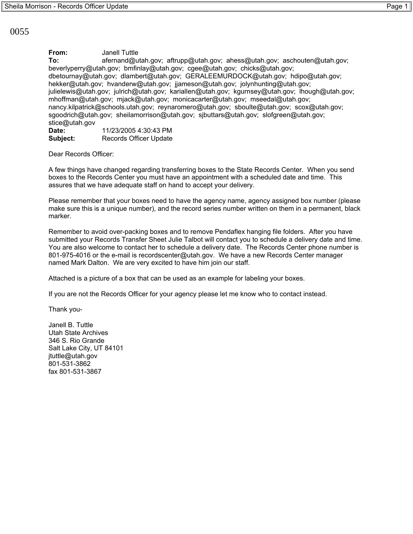0055

| From:                                                                                          | Janell Tuttle                                                            |
|------------------------------------------------------------------------------------------------|--------------------------------------------------------------------------|
| To:                                                                                            | afernand@utah.gov; aftrupp@utah.gov; ahess@utah.gov; aschouten@utah.gov; |
| beverlyperry@utah.gov; bmfinlay@utah.gov; cgee@utah.gov; chicks@utah.gov;                      |                                                                          |
| dbetournay@utah.gov; dlambert@utah.gov; GERALEEMURDOCK@utah.gov; hdipo@utah.gov;               |                                                                          |
| hekker@utah.gov; hvanderw@utah.gov; jjameson@utah.gov; jolynhunting@utah.gov;                  |                                                                          |
| julielewis@utah.gov; julrich@utah.gov; kariallen@utah.gov; kgurnsey@utah.gov; lhough@utah.gov; |                                                                          |
| mhoffman@utah.gov; mjack@utah.gov; monicacarter@utah.gov; mseedal@utah.gov;                    |                                                                          |
| nancy.kilpatrick@schools.utah.gov; reynaromero@utah.gov; sboulte@utah.gov; scox@utah.gov;      |                                                                          |
| sgoodrich@utah.gov; sheilamorrison@utah.gov; sjbuttars@utah.gov; slofgreen@utah.gov;           |                                                                          |
| stice@utah.gov                                                                                 |                                                                          |
| Date:                                                                                          | 11/23/2005 4:30:43 PM                                                    |
| Subject:                                                                                       | <b>Records Officer Update</b>                                            |

Dear Records Officer:

A few things have changed regarding transferring boxes to the State Records Center. When you send boxes to the Records Center you must have an appointment with a scheduled date and time. This assures that we have adequate staff on hand to accept your delivery.

Please remember that your boxes need to have the agency name, agency assigned box number (please make sure this is a unique number), and the record series number written on them in a permanent, black marker.

Remember to avoid over-packing boxes and to remove Pendaflex hanging file folders. After you have submitted your Records Transfer Sheet Julie Talbot will contact you to schedule a delivery date and time. You are also welcome to contact her to schedule a delivery date. The Records Center phone number is 801-975-4016 or the e-mail is recordscenter@utah.gov. We have a new Records Center manager named Mark Dalton. We are very excited to have him join our staff.

Attached is a picture of a box that can be used as an example for labeling your boxes.

If you are not the Records Officer for your agency please let me know who to contact instead.

Thank you-

Janell B. Tuttle Utah State Archives 346 S. Rio Grande Salt Lake City, UT 84101 jtuttle@utah.gov 801-531-3862 fax 801-531-3867